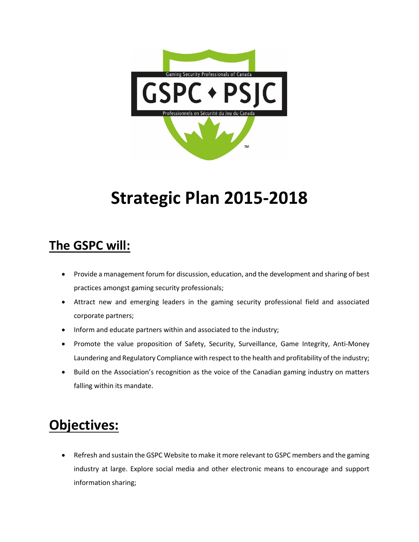

## **Strategic Plan 2015-2018**

## **The GSPC will:**

- Provide a management forum for discussion, education, and the development and sharing of best practices amongst gaming security professionals;
- Attract new and emerging leaders in the gaming security professional field and associated corporate partners;
- Inform and educate partners within and associated to the industry;
- Promote the value proposition of Safety, Security, Surveillance, Game Integrity, Anti-Money Laundering and Regulatory Compliance with respect to the health and profitability of the industry;
- Build on the Association's recognition as the voice of the Canadian gaming industry on matters falling within its mandate.

## **Objectives:**

• Refresh and sustain the GSPC Website to make it more relevant to GSPC members and the gaming industry at large. Explore social media and other electronic means to encourage and support information sharing;